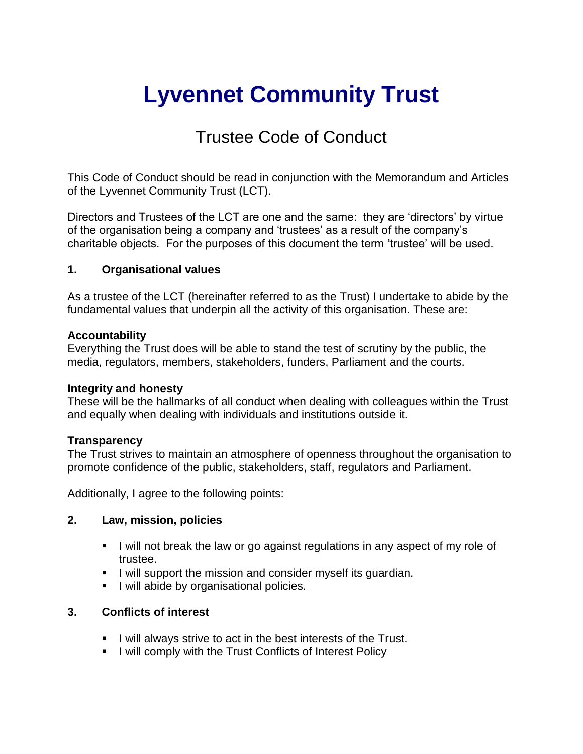# **Lyvennet Community Trust**

## Trustee Code of Conduct

This Code of Conduct should be read in conjunction with the Memorandum and Articles of the Lyvennet Community Trust (LCT).

Directors and Trustees of the LCT are one and the same: they are 'directors' by virtue of the organisation being a company and 'trustees' as a result of the company's charitable objects. For the purposes of this document the term 'trustee' will be used.

#### **1. Organisational values**

As a trustee of the LCT (hereinafter referred to as the Trust) I undertake to abide by the fundamental values that underpin all the activity of this organisation. These are:

#### **Accountability**

Everything the Trust does will be able to stand the test of scrutiny by the public, the media, regulators, members, stakeholders, funders, Parliament and the courts.

#### **Integrity and honesty**

These will be the hallmarks of all conduct when dealing with colleagues within the Trust and equally when dealing with individuals and institutions outside it.

#### **Transparency**

The Trust strives to maintain an atmosphere of openness throughout the organisation to promote confidence of the public, stakeholders, staff, regulators and Parliament.

Additionally, I agree to the following points:

#### **2. Law, mission, policies**

- I will not break the law or go against regulations in any aspect of my role of trustee.
- I will support the mission and consider myself its guardian.
- **I** will abide by organisational policies.

#### **3. Conflicts of interest**

- I will always strive to act in the best interests of the Trust.
- **I** lwill comply with the Trust Conflicts of Interest Policy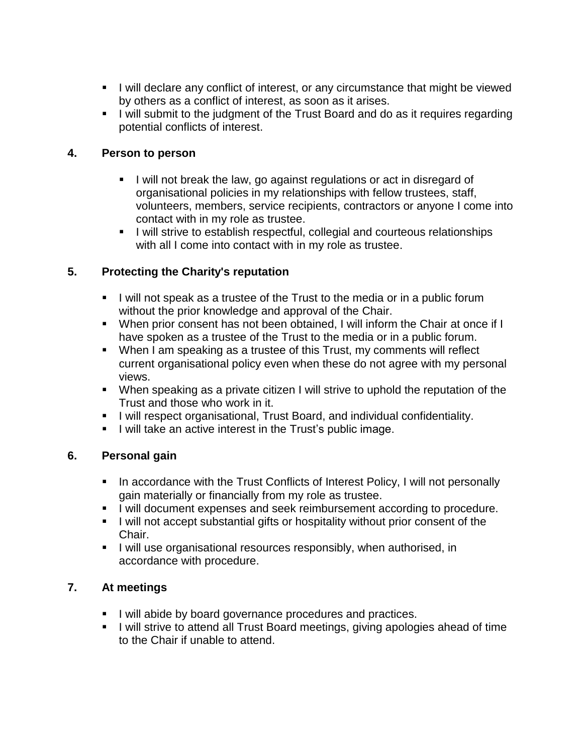- I will declare any conflict of interest, or any circumstance that might be viewed by others as a conflict of interest, as soon as it arises.
- I will submit to the judgment of the Trust Board and do as it requires regarding potential conflicts of interest.

#### **4. Person to person**

- I will not break the law, go against regulations or act in disregard of organisational policies in my relationships with fellow trustees, staff, volunteers, members, service recipients, contractors or anyone I come into contact with in my role as trustee.
- **I** will strive to establish respectful, collegial and courteous relationships with all I come into contact with in my role as trustee.

#### **5. Protecting the Charity's reputation**

- I will not speak as a trustee of the Trust to the media or in a public forum without the prior knowledge and approval of the Chair.
- When prior consent has not been obtained, I will inform the Chair at once if I have spoken as a trustee of the Trust to the media or in a public forum.
- When I am speaking as a trustee of this Trust, my comments will reflect current organisational policy even when these do not agree with my personal views.
- When speaking as a private citizen I will strive to uphold the reputation of the Trust and those who work in it.
- I will respect organisational, Trust Board, and individual confidentiality.
- I will take an active interest in the Trust's public image.

#### **6. Personal gain**

- In accordance with the Trust Conflicts of Interest Policy, I will not personally gain materially or financially from my role as trustee.
- **I** will document expenses and seek reimbursement according to procedure.
- I will not accept substantial gifts or hospitality without prior consent of the Chair.
- **I** will use organisational resources responsibly, when authorised, in accordance with procedure.

#### **7. At meetings**

- I will abide by board governance procedures and practices.
- I will strive to attend all Trust Board meetings, giving apologies ahead of time to the Chair if unable to attend.